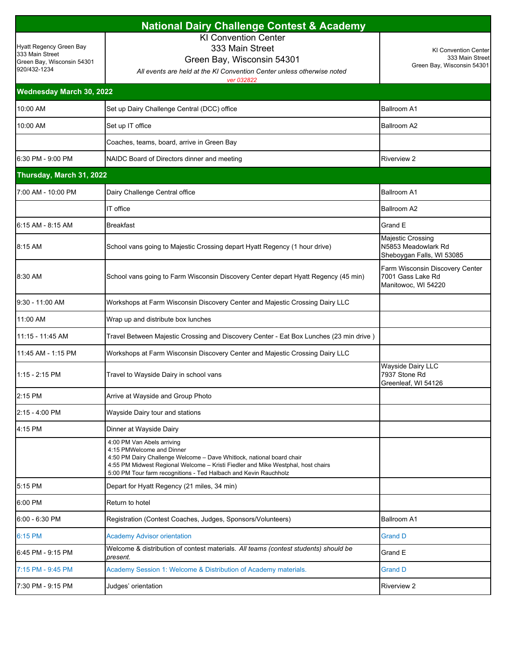| <b>National Dairy Challenge Contest &amp; Academy</b>                                    |                                                                                                                                                                                                                                                                                          |                                                                              |  |  |
|------------------------------------------------------------------------------------------|------------------------------------------------------------------------------------------------------------------------------------------------------------------------------------------------------------------------------------------------------------------------------------------|------------------------------------------------------------------------------|--|--|
| Hyatt Regency Green Bay<br>333 Main Street<br>Green Bay, Wisconsin 54301<br>920/432-1234 | <b>KI Convention Center</b><br>333 Main Street<br>Green Bay, Wisconsin 54301<br>All events are held at the KI Convention Center unless otherwise noted<br>ver 032822                                                                                                                     | <b>KI Convention Center</b><br>333 Main Street<br>Green Bay, Wisconsin 54301 |  |  |
| Wednesday March 30, 2022                                                                 |                                                                                                                                                                                                                                                                                          |                                                                              |  |  |
| 10:00 AM                                                                                 | Set up Dairy Challenge Central (DCC) office                                                                                                                                                                                                                                              | <b>Ballroom A1</b>                                                           |  |  |
| 10:00 AM                                                                                 | Set up IT office                                                                                                                                                                                                                                                                         | Ballroom A2                                                                  |  |  |
|                                                                                          | Coaches, teams, board, arrive in Green Bay                                                                                                                                                                                                                                               |                                                                              |  |  |
| 6:30 PM - 9:00 PM                                                                        | NAIDC Board of Directors dinner and meeting                                                                                                                                                                                                                                              | <b>Riverview 2</b>                                                           |  |  |
| Thursday, March 31, 2022                                                                 |                                                                                                                                                                                                                                                                                          |                                                                              |  |  |
| 7:00 AM - 10:00 PM                                                                       | Dairy Challenge Central office                                                                                                                                                                                                                                                           | <b>Ballroom A1</b>                                                           |  |  |
|                                                                                          | IT office                                                                                                                                                                                                                                                                                | Ballroom A2                                                                  |  |  |
| 6:15 AM - 8:15 AM                                                                        | <b>Breakfast</b>                                                                                                                                                                                                                                                                         | Grand E                                                                      |  |  |
| 8:15 AM                                                                                  | School vans going to Majestic Crossing depart Hyatt Regency (1 hour drive)                                                                                                                                                                                                               | Majestic Crossing<br>N5853 Meadowlark Rd<br>Sheboygan Falls, WI 53085        |  |  |
| 8:30 AM                                                                                  | School vans going to Farm Wisconsin Discovery Center depart Hyatt Regency (45 min)                                                                                                                                                                                                       | Farm Wisconsin Discovery Center<br>7001 Gass Lake Rd<br>Manitowoc, WI 54220  |  |  |
| 9:30 - 11:00 AM                                                                          | Workshops at Farm Wisconsin Discovery Center and Majestic Crossing Dairy LLC                                                                                                                                                                                                             |                                                                              |  |  |
| 11:00 AM                                                                                 | Wrap up and distribute box lunches                                                                                                                                                                                                                                                       |                                                                              |  |  |
| 11:15 - 11:45 AM                                                                         | Travel Between Majestic Crossing and Discovery Center - Eat Box Lunches (23 min drive)                                                                                                                                                                                                   |                                                                              |  |  |
| 11:45 AM - 1:15 PM                                                                       | Workshops at Farm Wisconsin Discovery Center and Majestic Crossing Dairy LLC                                                                                                                                                                                                             |                                                                              |  |  |
| 1:15 - 2:15 PM                                                                           | Travel to Wayside Dairy in school vans                                                                                                                                                                                                                                                   | <b>Wayside Dairy LLC</b><br>7937 Stone Rd<br>Greenleaf, WI 54126             |  |  |
| 2:15 PM                                                                                  | Arrive at Wayside and Group Photo                                                                                                                                                                                                                                                        |                                                                              |  |  |
| 2:15 - 4:00 PM                                                                           | Wayside Dairy tour and stations                                                                                                                                                                                                                                                          |                                                                              |  |  |
| 4:15 PM                                                                                  | Dinner at Wayside Dairy                                                                                                                                                                                                                                                                  |                                                                              |  |  |
|                                                                                          | 4:00 PM Van Abels arriving<br>4:15 PMWelcome and Dinner<br>4:50 PM Dairy Challenge Welcome - Dave Whitlock, national board chair<br>4:55 PM Midwest Regional Welcome - Kristi Fiedler and Mike Westphal, host chairs<br>5:00 PM Tour farm recognitions - Ted Halbach and Kevin Rauchholz |                                                                              |  |  |
| 5:15 PM                                                                                  | Depart for Hyatt Regency (21 miles, 34 min)                                                                                                                                                                                                                                              |                                                                              |  |  |
| 6:00 PM                                                                                  | Return to hotel                                                                                                                                                                                                                                                                          |                                                                              |  |  |
| $6:00 - 6:30$ PM                                                                         | Registration (Contest Coaches, Judges, Sponsors/Volunteers)                                                                                                                                                                                                                              | <b>Ballroom A1</b>                                                           |  |  |
| 6:15 PM                                                                                  | <b>Academy Advisor orientation</b>                                                                                                                                                                                                                                                       | <b>Grand D</b>                                                               |  |  |
| 6:45 PM - 9:15 PM                                                                        | Welcome & distribution of contest materials. All teams (contest students) should be<br>present.                                                                                                                                                                                          | Grand E                                                                      |  |  |
| 7:15 PM - 9:45 PM                                                                        | Academy Session 1: Welcome & Distribution of Academy materials.                                                                                                                                                                                                                          | <b>Grand D</b>                                                               |  |  |
| 7:30 PM - 9:15 PM                                                                        | Judges' orientation                                                                                                                                                                                                                                                                      | <b>Riverview 2</b>                                                           |  |  |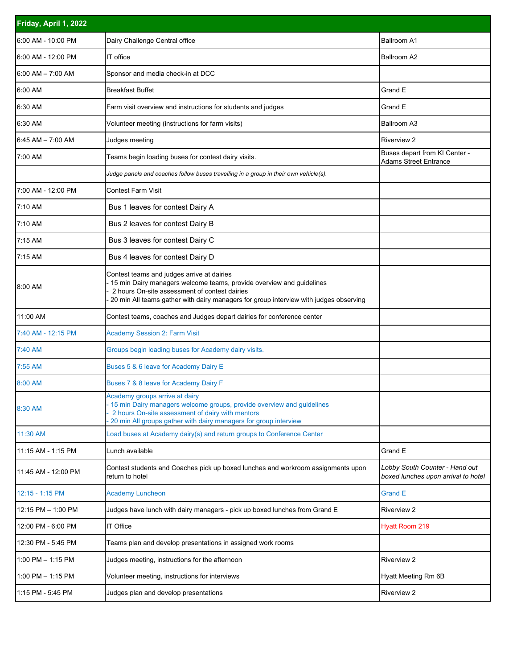| Friday, April 1, 2022 |                                                                                                                                                                                                                                                              |                                                                       |  |  |
|-----------------------|--------------------------------------------------------------------------------------------------------------------------------------------------------------------------------------------------------------------------------------------------------------|-----------------------------------------------------------------------|--|--|
| 6:00 AM - 10:00 PM    | Dairy Challenge Central office                                                                                                                                                                                                                               | <b>Ballroom A1</b>                                                    |  |  |
| 6:00 AM - 12:00 PM    | IT office                                                                                                                                                                                                                                                    | Ballroom A2                                                           |  |  |
| $6:00$ AM $-$ 7:00 AM | Sponsor and media check-in at DCC                                                                                                                                                                                                                            |                                                                       |  |  |
| 6:00 AM               | <b>Breakfast Buffet</b>                                                                                                                                                                                                                                      | Grand E                                                               |  |  |
| 6:30 AM               | Farm visit overview and instructions for students and judges                                                                                                                                                                                                 | Grand E                                                               |  |  |
| 6:30 AM               | Volunteer meeting (instructions for farm visits)                                                                                                                                                                                                             | Ballroom A3                                                           |  |  |
| $6:45$ AM $-7:00$ AM  | Judges meeting                                                                                                                                                                                                                                               | <b>Riverview 2</b>                                                    |  |  |
| 7:00 AM               | Teams begin loading buses for contest dairy visits.                                                                                                                                                                                                          | Buses depart from KI Center -<br><b>Adams Street Entrance</b>         |  |  |
|                       | Judge panels and coaches follow buses travelling in a group in their own vehicle(s).                                                                                                                                                                         |                                                                       |  |  |
| 7:00 AM - 12:00 PM    | <b>Contest Farm Visit</b>                                                                                                                                                                                                                                    |                                                                       |  |  |
| 7:10 AM               | Bus 1 leaves for contest Dairy A                                                                                                                                                                                                                             |                                                                       |  |  |
| 7:10 AM               | Bus 2 leaves for contest Dairy B                                                                                                                                                                                                                             |                                                                       |  |  |
| 7:15 AM               | Bus 3 leaves for contest Dairy C                                                                                                                                                                                                                             |                                                                       |  |  |
| 7:15 AM               | Bus 4 leaves for contest Dairy D                                                                                                                                                                                                                             |                                                                       |  |  |
| 8:00 AM               | Contest teams and judges arrive at dairies<br>15 min Dairy managers welcome teams, provide overview and guidelines<br>2 hours On-site assessment of contest dairies<br>20 min All teams gather with dairy managers for group interview with judges observing |                                                                       |  |  |
| 11:00 AM              | Contest teams, coaches and Judges depart dairies for conference center                                                                                                                                                                                       |                                                                       |  |  |
| 7:40 AM - 12:15 PM    | <b>Academy Session 2: Farm Visit</b>                                                                                                                                                                                                                         |                                                                       |  |  |
| 7:40 AM               | Groups begin loading buses for Academy dairy visits.                                                                                                                                                                                                         |                                                                       |  |  |
| 7:55 AM               | Buses 5 & 6 leave for Academy Dairy E                                                                                                                                                                                                                        |                                                                       |  |  |
| 8:00 AM               | Buses 7 & 8 leave for Academy Dairy F                                                                                                                                                                                                                        |                                                                       |  |  |
| 8:30 AM               | Academy groups arrive at dairy<br>15 min Dairy managers welcome groups, provide overview and guidelines<br>2 hours On-site assessment of dairy with mentors<br>20 min All groups gather with dairy managers for group interview                              |                                                                       |  |  |
| 11:30 AM              | Load buses at Academy dairy(s) and return groups to Conference Center                                                                                                                                                                                        |                                                                       |  |  |
| 11:15 AM - 1:15 PM    | Lunch available                                                                                                                                                                                                                                              | Grand E                                                               |  |  |
| 11:45 AM - 12:00 PM   | Contest students and Coaches pick up boxed lunches and workroom assignments upon<br>return to hotel                                                                                                                                                          | Lobby South Counter - Hand out<br>boxed lunches upon arrival to hotel |  |  |
| 12:15 - 1:15 PM       | <b>Academy Luncheon</b>                                                                                                                                                                                                                                      | <b>Grand E</b>                                                        |  |  |
| 12:15 PM - 1:00 PM    | Judges have lunch with dairy managers - pick up boxed lunches from Grand E                                                                                                                                                                                   | <b>Riverview 2</b>                                                    |  |  |
| 12:00 PM - 6:00 PM    | IT Office                                                                                                                                                                                                                                                    | <b>Hyatt Room 219</b>                                                 |  |  |
| 12:30 PM - 5:45 PM    | Teams plan and develop presentations in assigned work rooms                                                                                                                                                                                                  |                                                                       |  |  |
| $1:00$ PM $-1:15$ PM  | Judges meeting, instructions for the afternoon                                                                                                                                                                                                               | <b>Riverview 2</b>                                                    |  |  |
| $1:00$ PM $-1:15$ PM  | Volunteer meeting, instructions for interviews                                                                                                                                                                                                               | Hyatt Meeting Rm 6B                                                   |  |  |
| 1:15 PM - 5:45 PM     | Judges plan and develop presentations                                                                                                                                                                                                                        | <b>Riverview 2</b>                                                    |  |  |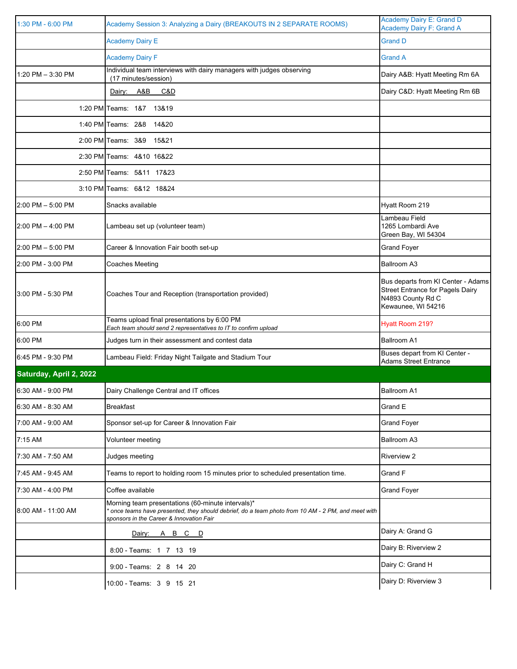| 1:30 PM - 6:00 PM       | Academy Session 3: Analyzing a Dairy (BREAKOUTS IN 2 SEPARATE ROOMS)                                                                                                                              | <b>Academy Dairy E: Grand D</b><br><b>Academy Dairy F: Grand A</b>                                                       |
|-------------------------|---------------------------------------------------------------------------------------------------------------------------------------------------------------------------------------------------|--------------------------------------------------------------------------------------------------------------------------|
|                         | <b>Academy Dairy E</b>                                                                                                                                                                            | <b>Grand D</b>                                                                                                           |
|                         | <b>Academy Dairy F</b>                                                                                                                                                                            | <b>Grand A</b>                                                                                                           |
| 1:20 PM - 3:30 PM       | Individual team interviews with dairy managers with judges observing<br>(17 minutes/session)                                                                                                      | Dairy A&B: Hyatt Meeting Rm 6A                                                                                           |
|                         | A&B<br>C&D<br>Dairy:                                                                                                                                                                              | Dairy C&D: Hyatt Meeting Rm 6B                                                                                           |
|                         | 1:20 PM Teams: 1&7 13&19                                                                                                                                                                          |                                                                                                                          |
|                         | 1:40 PM Teams: 2&8 14&20                                                                                                                                                                          |                                                                                                                          |
|                         | 2:00 PM Teams: 3&9<br>15&21                                                                                                                                                                       |                                                                                                                          |
|                         | 2:30 PM Teams: 4&10 16&22                                                                                                                                                                         |                                                                                                                          |
|                         | 2:50 PM Teams: 5&11 17&23                                                                                                                                                                         |                                                                                                                          |
|                         | 3:10 PM Teams: 6&12 18&24                                                                                                                                                                         |                                                                                                                          |
| $2:00$ PM $-5:00$ PM    | Snacks available                                                                                                                                                                                  | Hyatt Room 219                                                                                                           |
| $2:00$ PM $-$ 4:00 PM   | Lambeau set up (volunteer team)                                                                                                                                                                   | Lambeau Field<br>1265 Lombardi Ave<br>Green Bay, WI 54304                                                                |
| 2:00 PM - 5:00 PM       | Career & Innovation Fair booth set-up                                                                                                                                                             | <b>Grand Foyer</b>                                                                                                       |
| 2:00 PM - 3:00 PM       | <b>Coaches Meeting</b>                                                                                                                                                                            | Ballroom A3                                                                                                              |
| 3:00 PM - 5:30 PM       | Coaches Tour and Reception (transportation provided)                                                                                                                                              | Bus departs from KI Center - Adams<br><b>Street Entrance for Pagels Dairy</b><br>N4893 County Rd C<br>Kewaunee, WI 54216 |
| 6:00 PM                 | Teams upload final presentations by 6:00 PM<br>Each team should send 2 representatives to IT to confirm upload                                                                                    | Hyatt Room 219?                                                                                                          |
| 6:00 PM                 | Judges turn in their assessment and contest data                                                                                                                                                  | <b>Ballroom A1</b>                                                                                                       |
| 6:45 PM - 9:30 PM       | Lambeau Field: Friday Night Tailgate and Stadium Tour                                                                                                                                             | Buses depart from KI Center -<br><b>Adams Street Entrance</b>                                                            |
| Saturday, April 2, 2022 |                                                                                                                                                                                                   |                                                                                                                          |
| 6:30 AM - 9:00 PM       | Dairy Challenge Central and IT offices                                                                                                                                                            | <b>Ballroom A1</b>                                                                                                       |
| 6:30 AM - 8:30 AM       | <b>Breakfast</b>                                                                                                                                                                                  | Grand E                                                                                                                  |
| 7:00 AM - 9:00 AM       | Sponsor set-up for Career & Innovation Fair                                                                                                                                                       | <b>Grand Foyer</b>                                                                                                       |
| 7:15 AM                 | Volunteer meeting                                                                                                                                                                                 | Ballroom A3                                                                                                              |
| 7:30 AM - 7:50 AM       | Judges meeting                                                                                                                                                                                    | <b>Riverview 2</b>                                                                                                       |
| 7:45 AM - 9:45 AM       | Teams to report to holding room 15 minutes prior to scheduled presentation time.                                                                                                                  | Grand F                                                                                                                  |
| 7:30 AM - 4:00 PM       | Coffee available                                                                                                                                                                                  | <b>Grand Foyer</b>                                                                                                       |
| 8:00 AM - 11:00 AM      | Morning team presentations (60-minute intervals)*<br>once teams have presented, they should debrief, do a team photo from 10 AM - 2 PM, and meet with<br>sponsors in the Career & Innovation Fair |                                                                                                                          |
|                         | Dairy: A B C D                                                                                                                                                                                    | Dairy A: Grand G                                                                                                         |
|                         | 8:00 - Teams: 1 7 13 19                                                                                                                                                                           | Dairy B: Riverview 2                                                                                                     |
|                         | 9:00 - Teams: 2 8 14 20                                                                                                                                                                           | Dairy C: Grand H                                                                                                         |
|                         | 10:00 - Teams: 3 9 15 21                                                                                                                                                                          | Dairy D: Riverview 3                                                                                                     |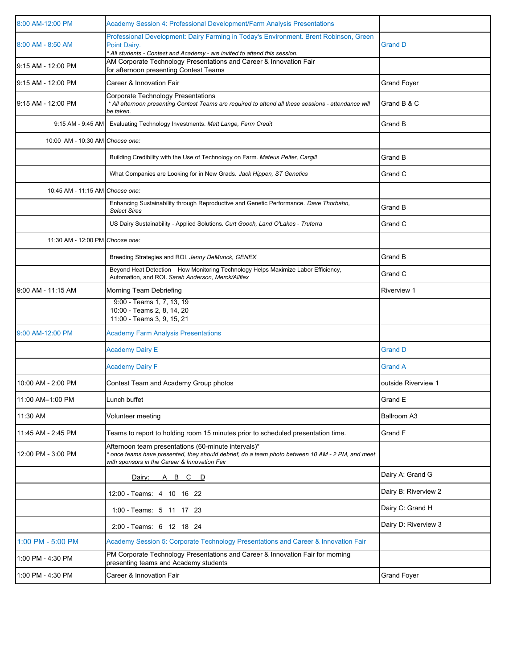| 8:00 AM-12:00 PM                | Academy Session 4: Professional Development/Farm Analysis Presentations                                                                                                                                |                      |
|---------------------------------|--------------------------------------------------------------------------------------------------------------------------------------------------------------------------------------------------------|----------------------|
| 8:00 AM - 8:50 AM               | Professional Development: Dairy Farming in Today's Environment. Brent Robinson, Green<br>Point Dairy.<br>All students - Contest and Academy - are invited to attend this session.                      | <b>Grand D</b>       |
| 9:15 AM - 12:00 PM              | AM Corporate Technology Presentations and Career & Innovation Fair<br>for afternoon presenting Contest Teams                                                                                           |                      |
| 9:15 AM - 12:00 PM              | Career & Innovation Fair                                                                                                                                                                               | <b>Grand Foyer</b>   |
| 9:15 AM - 12:00 PM              | Corporate Technology Presentations<br>* All afternoon presenting Contest Teams are required to attend all these sessions - attendance will<br>be taken.                                                | Grand B & C          |
| 9:15 AM - 9:45 AM               | Evaluating Technology Investments. Matt Lange, Farm Credit                                                                                                                                             | Grand B              |
| 10:00 AM - 10:30 AM Choose one: |                                                                                                                                                                                                        |                      |
|                                 | Building Credibility with the Use of Technology on Farm. Mateus Peiter, Cargill                                                                                                                        | Grand B              |
|                                 | What Companies are Looking for in New Grads. Jack Hippen, ST Genetics                                                                                                                                  | Grand C              |
| 10:45 AM - 11:15 AM Choose one: |                                                                                                                                                                                                        |                      |
|                                 | Enhancing Sustainability through Reproductive and Genetic Performance. Dave Thorbahn,<br><b>Select Sires</b>                                                                                           | Grand B              |
|                                 | US Dairy Sustainability - Applied Solutions. Curt Gooch, Land O'Lakes - Truterra                                                                                                                       | Grand C              |
| 11:30 AM - 12:00 PM Choose one: |                                                                                                                                                                                                        |                      |
|                                 | Breeding Strategies and ROI. Jenny DeMunck, GENEX                                                                                                                                                      | Grand B              |
|                                 | Beyond Heat Detection - How Monitoring Technology Helps Maximize Labor Efficiency,<br>Automation, and ROI. Sarah Anderson, Merck/Allflex                                                               | Grand C              |
| 9:00 AM - 11:15 AM              | Morning Team Debriefing                                                                                                                                                                                | <b>Riverview 1</b>   |
|                                 | 9:00 - Teams 1, 7, 13, 19<br>10:00 - Teams 2, 8, 14, 20<br>11:00 - Teams 3, 9, 15, 21                                                                                                                  |                      |
| 9:00 AM-12:00 PM                | <b>Academy Farm Analysis Presentations</b>                                                                                                                                                             |                      |
|                                 | <b>Academy Dairy E</b>                                                                                                                                                                                 | <b>Grand D</b>       |
|                                 | <b>Academy Dairy F</b>                                                                                                                                                                                 | <b>Grand A</b>       |
| 10:00 AM - 2:00 PM              | Contest Team and Academy Group photos                                                                                                                                                                  | outside Riverview 1  |
| 11:00 AM-1:00 PM                | Lunch buffet                                                                                                                                                                                           | <b>Grand E</b>       |
| 11:30 AM                        | Volunteer meeting                                                                                                                                                                                      | Ballroom A3          |
| 11:45 AM - 2:45 PM              | Teams to report to holding room 15 minutes prior to scheduled presentation time.                                                                                                                       | Grand F              |
| 12:00 PM - 3:00 PM              | Afternoon team presentations (60-minute intervals)*<br>once teams have presented, they should debrief, do a team photo between 10 AM - 2 PM, and meet<br>with sponsors in the Career & Innovation Fair |                      |
|                                 | Dairy:<br><u>A B C D</u>                                                                                                                                                                               | Dairy A: Grand G     |
|                                 | 12:00 - Teams: 4 10 16 22                                                                                                                                                                              | Dairy B: Riverview 2 |
|                                 | 1:00 - Teams: 5 11 17 23                                                                                                                                                                               | Dairy C: Grand H     |
|                                 | 2:00 - Teams: 6 12 18 24                                                                                                                                                                               | Dairy D: Riverview 3 |
| 1:00 PM - 5:00 PM               | Academy Session 5: Corporate Technology Presentations and Career & Innovation Fair                                                                                                                     |                      |
| 1:00 PM - 4:30 PM               | PM Corporate Technology Presentations and Career & Innovation Fair for morning<br>presenting teams and Academy students                                                                                |                      |
| 1:00 PM - 4:30 PM               | Career & Innovation Fair                                                                                                                                                                               | <b>Grand Foyer</b>   |